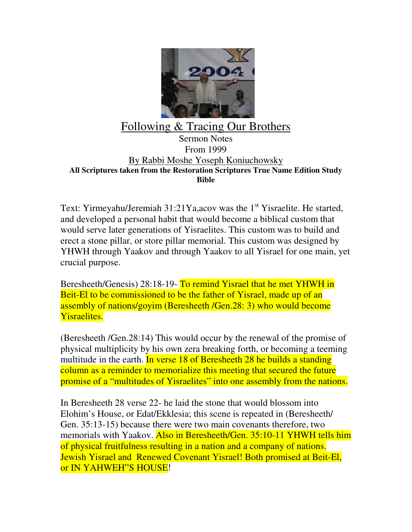

## Following & Tracing Our Brothers

Sermon Notes From 1999 By Rabbi Moshe Yoseph Koniuchowsky **All Scriptures taken from the Restoration Scriptures True Name Edition Study Bible**

Text: Yirmeyahu/Jeremiah  $31:21$  Ya, acov was the 1<sup>st</sup> Yisraelite. He started, and developed a personal habit that would become a biblical custom that would serve later generations of Yisraelites. This custom was to build and erect a stone pillar, or store pillar memorial. This custom was designed by YHWH through Yaakov and through Yaakov to all Yisrael for one main, yet crucial purpose.

Beresheeth/Genesis) 28:18-19- To remind Yisrael that he met YHWH in Beit-El to be commissioned to be the father of Yisrael, made up of an assembly of nations/goyim (Beresheeth /Gen.28: 3) who would become Yisraelites.

(Beresheeth /Gen.28:14) This would occur by the renewal of the promise of physical multiplicity by his own zera breaking forth, or becoming a teeming multitude in the earth. In verse 18 of Beresheeth 28 he builds a standing column as a reminder to memorialize this meeting that secured the future promise of a "multitudes of Yisraelites" into one assembly from the nations.

In Beresheeth 28 verse 22- he laid the stone that would blossom into Elohim's House, or Edat/Ekklesia; this scene is repeated in (Beresheeth/ Gen. 35:13-15) because there were two main covenants therefore, two memorials with Yaakov. Also in Beresheeth/Gen. 35:10-11 YHWH tells him of physical fruitfulness resulting in a nation and a company of nations. Jewish Yisrael and Renewed Covenant Yisrael! Both promised at Beit-El, or IN YAHWEH"S HOUSE!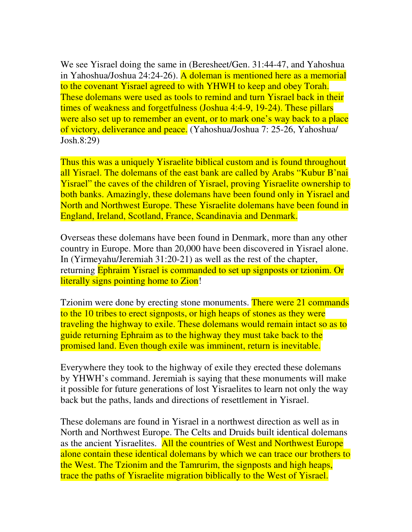We see Yisrael doing the same in (Beresheet/Gen. 31:44-47, and Yahoshua in Yahoshua/Joshua 24:24-26). A doleman is mentioned here as a memorial to the covenant Yisrael agreed to with YHWH to keep and obey Torah. These dolemans were used as tools to remind and turn Yisrael back in their times of weakness and forgetfulness (Joshua 4:4-9, 19-24). These pillars were also set up to remember an event, or to mark one's way back to a place of victory, deliverance and peace. (Yahoshua/Joshua 7: 25-26, Yahoshua/ Josh.8:29)

Thus this was a uniquely Yisraelite biblical custom and is found throughout all Yisrael. The dolemans of the east bank are called by Arabs "Kubur B'nai Yisrael" the caves of the children of Yisrael, proving Yisraelite ownership to both banks. Amazingly, these dolemans have been found only in Yisrael and North and Northwest Europe. These Yisraelite dolemans have been found in England, Ireland, Scotland, France, Scandinavia and Denmark.

Overseas these dolemans have been found in Denmark, more than any other country in Europe. More than 20,000 have been discovered in Yisrael alone. In (Yirmeyahu/Jeremiah 31:20-21) as well as the rest of the chapter, returning Ephraim Yisrael is commanded to set up signposts or tzionim. Or literally signs pointing home to Zion!

Tzionim were done by erecting stone monuments. There were 21 commands to the 10 tribes to erect signposts, or high heaps of stones as they were traveling the highway to exile. These dolemans would remain intact so as to guide returning Ephraim as to the highway they must take back to the promised land. Even though exile was imminent, return is inevitable.

Everywhere they took to the highway of exile they erected these dolemans by YHWH's command. Jeremiah is saying that these monuments will make it possible for future generations of lost Yisraelites to learn not only the way back but the paths, lands and directions of resettlement in Yisrael.

These dolemans are found in Yisrael in a northwest direction as well as in North and Northwest Europe. The Celts and Druids built identical dolemans as the ancient Yisraelites. All the countries of West and Northwest Europe alone contain these identical dolemans by which we can trace our brothers to the West. The Tzionim and the Tamrurim, the signposts and high heaps, trace the paths of Yisraelite migration biblically to the West of Yisrael.